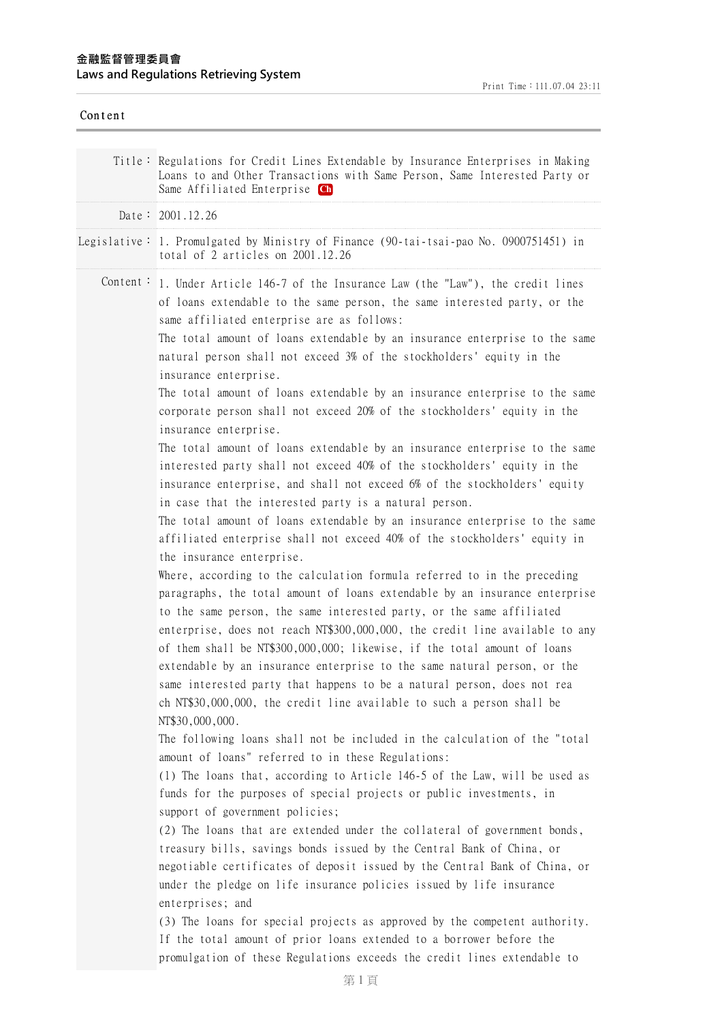| Content |                                                                                                                                                                                                                                                                                                                                                                                                                                                                                                                                                                                                                                                                                                                                                                                                                                                                                                                                                                                                                                                                                                                                                                                                                                                                                                                                                                                                                                                                                                                                                                                                                                                                                                                                                                                                                                                                                                                                                                                                                                                                                                                                                                                                                                                                                                                                                                                                                                                                                                                                                                                                                                  |
|---------|----------------------------------------------------------------------------------------------------------------------------------------------------------------------------------------------------------------------------------------------------------------------------------------------------------------------------------------------------------------------------------------------------------------------------------------------------------------------------------------------------------------------------------------------------------------------------------------------------------------------------------------------------------------------------------------------------------------------------------------------------------------------------------------------------------------------------------------------------------------------------------------------------------------------------------------------------------------------------------------------------------------------------------------------------------------------------------------------------------------------------------------------------------------------------------------------------------------------------------------------------------------------------------------------------------------------------------------------------------------------------------------------------------------------------------------------------------------------------------------------------------------------------------------------------------------------------------------------------------------------------------------------------------------------------------------------------------------------------------------------------------------------------------------------------------------------------------------------------------------------------------------------------------------------------------------------------------------------------------------------------------------------------------------------------------------------------------------------------------------------------------------------------------------------------------------------------------------------------------------------------------------------------------------------------------------------------------------------------------------------------------------------------------------------------------------------------------------------------------------------------------------------------------------------------------------------------------------------------------------------------------|
|         | Title: Regulations for Credit Lines Extendable by Insurance Enterprises in Making<br>Loans to and Other Transactions with Same Person, Same Interested Party or<br>Same Affiliated Enterprise Ch                                                                                                                                                                                                                                                                                                                                                                                                                                                                                                                                                                                                                                                                                                                                                                                                                                                                                                                                                                                                                                                                                                                                                                                                                                                                                                                                                                                                                                                                                                                                                                                                                                                                                                                                                                                                                                                                                                                                                                                                                                                                                                                                                                                                                                                                                                                                                                                                                                 |
|         | Date: $2001.12.26$                                                                                                                                                                                                                                                                                                                                                                                                                                                                                                                                                                                                                                                                                                                                                                                                                                                                                                                                                                                                                                                                                                                                                                                                                                                                                                                                                                                                                                                                                                                                                                                                                                                                                                                                                                                                                                                                                                                                                                                                                                                                                                                                                                                                                                                                                                                                                                                                                                                                                                                                                                                                               |
|         | Legislative: 1. Promulgated by Ministry of Finance (90-tai-tsai-pao No. 0900751451) in<br>total of 2 articles on 2001.12.26                                                                                                                                                                                                                                                                                                                                                                                                                                                                                                                                                                                                                                                                                                                                                                                                                                                                                                                                                                                                                                                                                                                                                                                                                                                                                                                                                                                                                                                                                                                                                                                                                                                                                                                                                                                                                                                                                                                                                                                                                                                                                                                                                                                                                                                                                                                                                                                                                                                                                                      |
|         | Content: 1. Under Article 146-7 of the Insurance Law (the "Law"), the credit lines<br>of loans extendable to the same person, the same interested party, or the<br>same affiliated enterprise are as follows:<br>The total amount of loans extendable by an insurance enterprise to the same<br>natural person shall not exceed 3% of the stockholders' equity in the<br>insurance enterprise.<br>The total amount of loans extendable by an insurance enterprise to the same<br>corporate person shall not exceed 20% of the stockholders' equity in the<br>insurance enterprise.<br>The total amount of loans extendable by an insurance enterprise to the same<br>interested party shall not exceed 40% of the stockholders' equity in the<br>insurance enterprise, and shall not exceed 6% of the stockholders' equity<br>in case that the interested party is a natural person.<br>The total amount of loans extendable by an insurance enterprise to the same<br>affiliated enterprise shall not exceed 40% of the stockholders' equity in<br>the insurance enterprise.<br>Where, according to the calculation formula referred to in the preceding<br>paragraphs, the total amount of loans extendable by an insurance enterprise<br>to the same person, the same interested party, or the same affiliated<br>enterprise, does not reach NT\$300,000,000, the credit line available to any<br>of them shall be NT\$300,000,000; likewise, if the total amount of loans<br>extendable by an insurance enterprise to the same natural person, or the<br>same interested party that happens to be a natural person, does not rea<br>ch NT\$30,000,000, the credit line available to such a person shall be<br>NT\$30,000,000.<br>The following loans shall not be included in the calculation of the "total<br>amount of loans" referred to in these Regulations:<br>(1) The loans that, according to Article 146-5 of the Law, will be used as<br>funds for the purposes of special projects or public investments, in<br>support of government policies;<br>(2) The loans that are extended under the collateral of government bonds,<br>treasury bills, savings bonds issued by the Central Bank of China, or<br>negotiable certificates of deposit issued by the Central Bank of China, or<br>under the pledge on life insurance policies issued by life insurance<br>enterprises; and<br>(3) The loans for special projects as approved by the competent authority.<br>If the total amount of prior loans extended to a borrower before the<br>promulgation of these Regulations exceeds the credit lines extendable to |